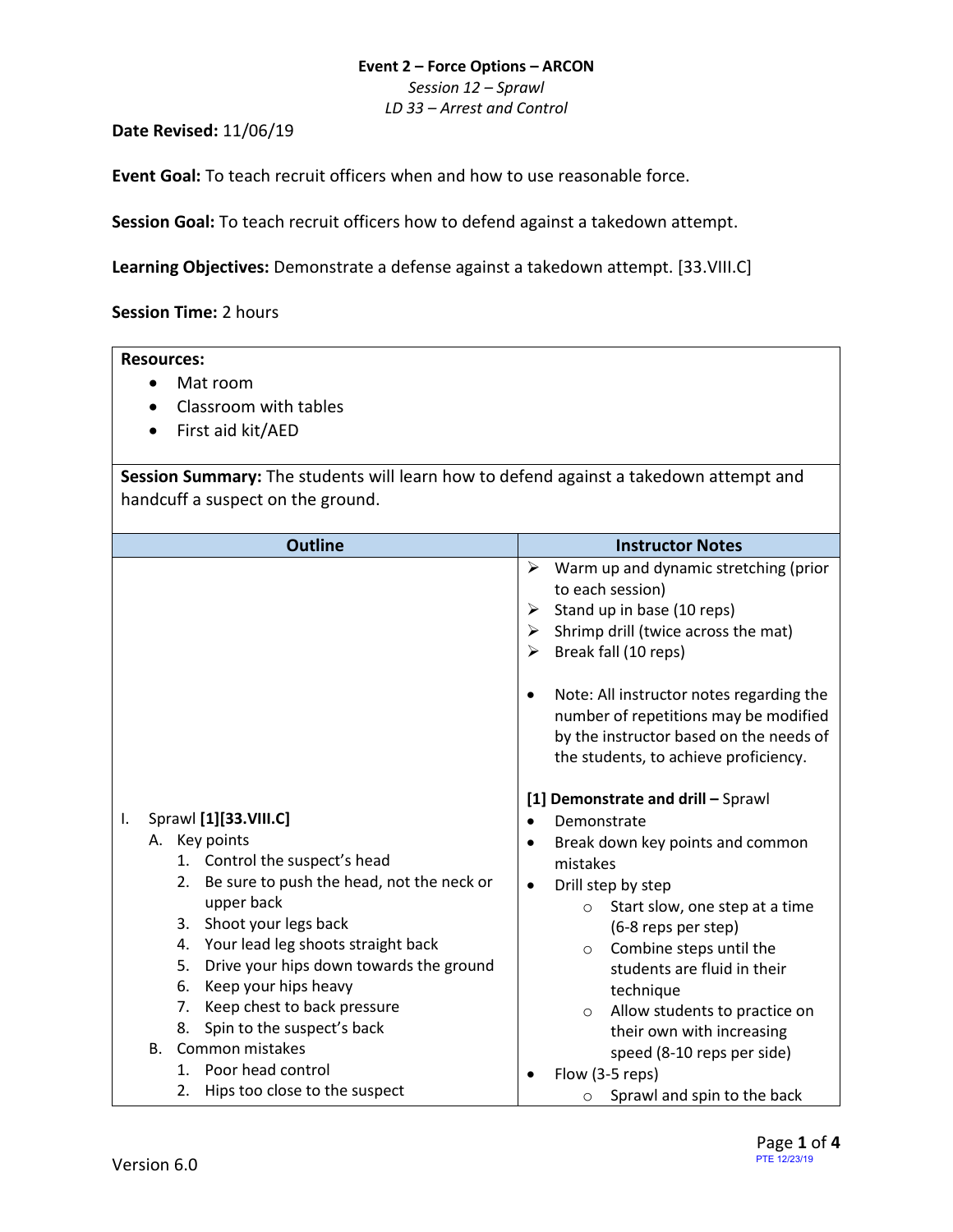#### **Event 2 – Force Options – ARCON**

*Session 12 – Sprawl*

*LD 33 – Arrest and Control*

**Date Revised:** 11/06/19

**Event Goal:** To teach recruit officers when and how to use reasonable force.

**Session Goal:** To teach recruit officers how to defend against a takedown attempt.

<span id="page-0-1"></span>**Learning Objectives:** [Demonstrate a defense against a takedown attempt. \[33.VIII.C\]](#page-0-0)

**Session Time:** 2 hours

# **Resources:**

- Mat room
- Classroom with tables
- First aid kit/AED

**Session Summary:** The students will learn how to defend against a takedown attempt and handcuff a suspect on the ground.

<span id="page-0-0"></span>

| <b>Outline</b>                                                                                                                                                                                                                                                                                                                                                                                                                                                        | <b>Instructor Notes</b><br>Warm up and dynamic stretching (prior<br>➤<br>to each session)<br>Stand up in base (10 reps)<br>➤<br>Shrimp drill (twice across the mat)<br>➤<br>Break fall (10 reps)<br>➤<br>Note: All instructor notes regarding the<br>number of repetitions may be modified<br>by the instructor based on the needs of<br>the students, to achieve proficiency.                                                                    |  |  |
|-----------------------------------------------------------------------------------------------------------------------------------------------------------------------------------------------------------------------------------------------------------------------------------------------------------------------------------------------------------------------------------------------------------------------------------------------------------------------|---------------------------------------------------------------------------------------------------------------------------------------------------------------------------------------------------------------------------------------------------------------------------------------------------------------------------------------------------------------------------------------------------------------------------------------------------|--|--|
| Sprawl [1][33.VIII.C]<br>Ι.<br>A. Key points<br>1. Control the suspect's head<br>Be sure to push the head, not the neck or<br>2.<br>upper back<br>Shoot your legs back<br>3.<br>4. Your lead leg shoots straight back<br>Drive your hips down towards the ground<br>5.<br>Keep your hips heavy<br>6.<br>Keep chest to back pressure<br>7.<br>Spin to the suspect's back<br>8.<br>Common mistakes<br>B.<br>1. Poor head control<br>Hips too close to the suspect<br>2. | [1] Demonstrate and drill - Sprawl<br>Demonstrate<br>Break down key points and common<br>mistakes<br>Drill step by step<br>Start slow, one step at a time<br>$\circ$<br>(6-8 reps per step)<br>Combine steps until the<br>$\circ$<br>students are fluid in their<br>technique<br>Allow students to practice on<br>$\circ$<br>their own with increasing<br>speed (8-10 reps per side)<br>Flow (3-5 reps)<br>Sprawl and spin to the back<br>$\circ$ |  |  |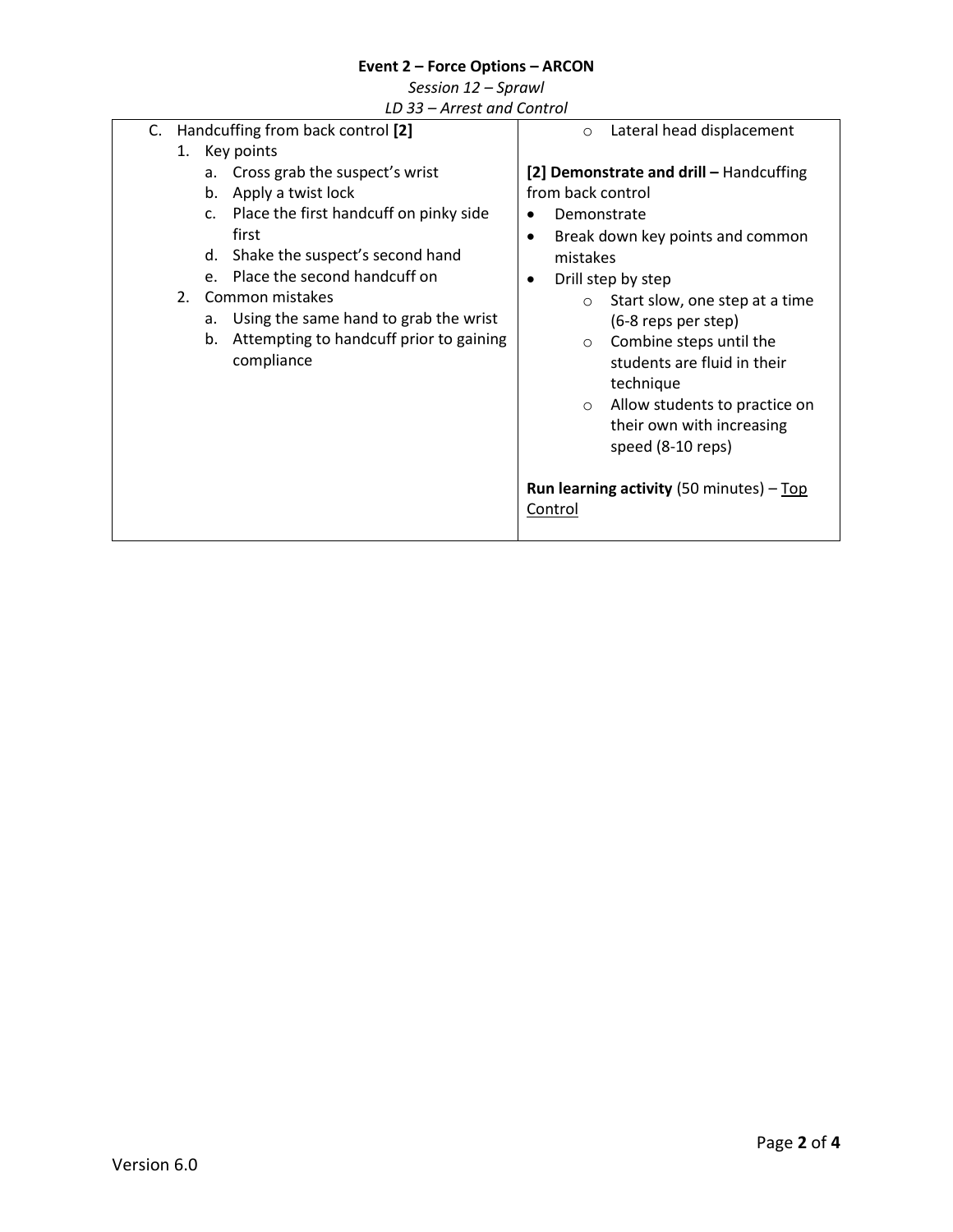# **Event 2 – Force Options – ARCON**

| Session 12 - Sprawl |  |  |
|---------------------|--|--|
|---------------------|--|--|

*LD 33 – Arrest and Control*

<span id="page-1-0"></span>

| C. | Handcuffing from back control [2] |                 |                                         | Lateral head displacement<br>$\circ$ |                                                   |                                         |
|----|-----------------------------------|-----------------|-----------------------------------------|--------------------------------------|---------------------------------------------------|-----------------------------------------|
|    |                                   |                 | 1. Key points                           |                                      |                                                   |                                         |
|    |                                   | а.              | Cross grab the suspect's wrist          |                                      |                                                   | [2] Demonstrate and drill - Handcuffing |
|    |                                   | b.              | Apply a twist lock                      |                                      | from back control                                 |                                         |
|    |                                   | $C_{\star}$     | Place the first handcuff on pinky side  |                                      | Demonstrate                                       |                                         |
|    |                                   |                 | first                                   | ٠                                    |                                                   | Break down key points and common        |
|    |                                   | d.              | Shake the suspect's second hand         |                                      | mistakes                                          |                                         |
|    |                                   | $e_{i}$         | Place the second handcuff on            |                                      |                                                   | Drill step by step                      |
|    | 2.                                | Common mistakes |                                         |                                      | $\circ$                                           | Start slow, one step at a time          |
|    |                                   | а.              | Using the same hand to grab the wrist   |                                      |                                                   | (6-8 reps per step)                     |
|    |                                   | b.              | Attempting to handcuff prior to gaining |                                      | $\circ$                                           | Combine steps until the                 |
|    |                                   |                 | compliance                              |                                      |                                                   | students are fluid in their             |
|    |                                   |                 |                                         |                                      |                                                   | technique                               |
|    |                                   |                 |                                         |                                      | $\circ$                                           | Allow students to practice on           |
|    |                                   |                 |                                         |                                      |                                                   | their own with increasing               |
|    |                                   |                 |                                         |                                      |                                                   | speed (8-10 reps)                       |
|    |                                   |                 |                                         |                                      |                                                   |                                         |
|    |                                   |                 |                                         |                                      | <b>Run learning activity</b> (50 minutes) $-$ Top |                                         |
|    |                                   |                 |                                         |                                      | Control                                           |                                         |
|    |                                   |                 |                                         |                                      |                                                   |                                         |
|    |                                   |                 |                                         |                                      |                                                   |                                         |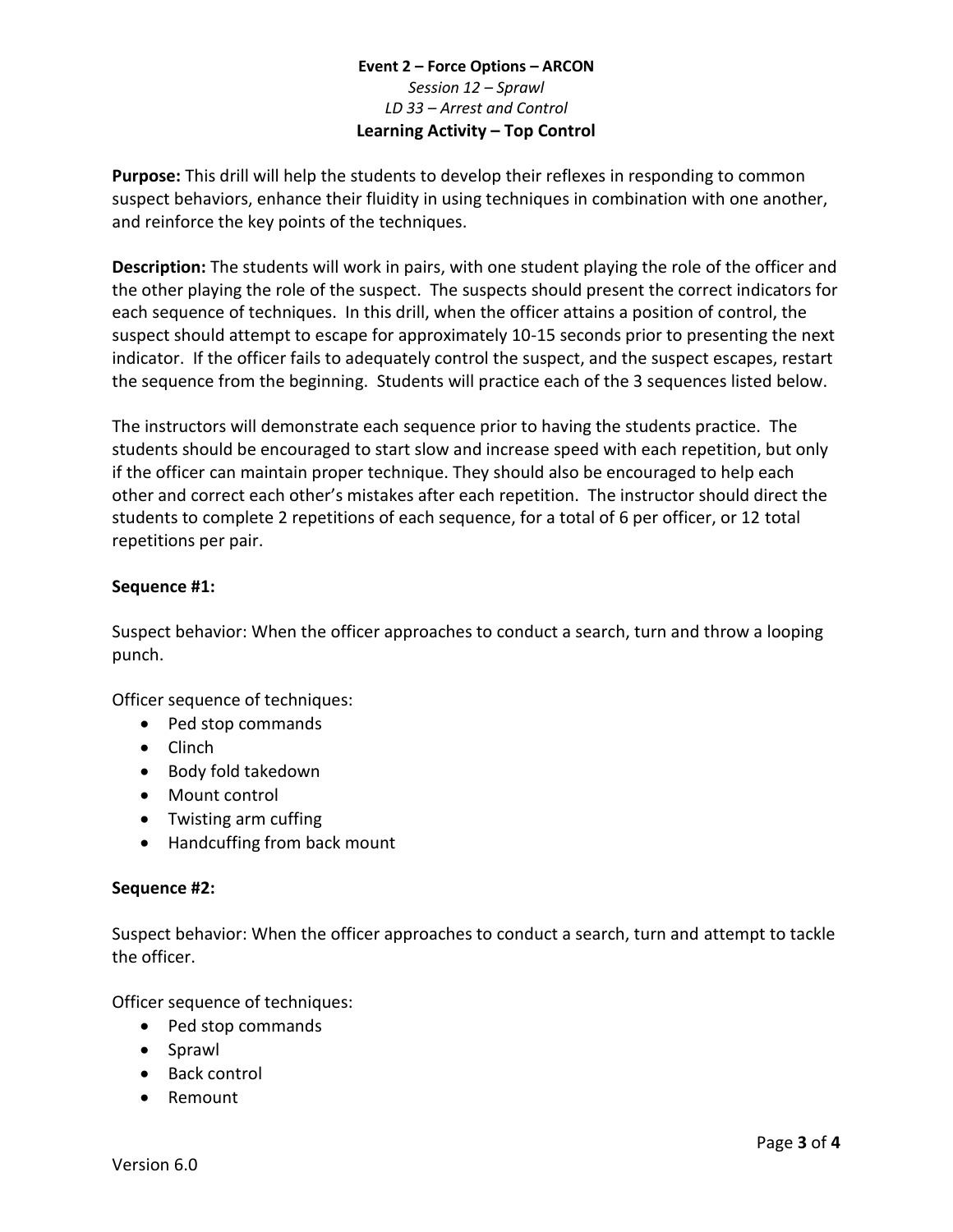# **Event 2 – Force Options – ARCON** *Session 12 – Sprawl LD 33 – Arrest and Control* **Learning Activity – Top Control**

**Purpose:** This drill will help the students to develop their reflexes in responding to common suspect behaviors, enhance their fluidity in using techniques in combination with one another, and reinforce the key points of the techniques.

**Description:** The students will work in pairs, with one student playing the role of the officer and the other playing the role of the suspect. The suspects should present the correct indicators for each sequence of techniques. In this drill, when the officer attains a position of control, the suspect should attempt to escape for approximately 10-15 seconds prior to presenting the next indicator. If the officer fails to adequately control the suspect, and the suspect escapes, restart the sequence from the beginning. Students will practice each of the 3 sequences listed below.

The instructors will demonstrate each sequence prior to having the students practice. The students should be encouraged to start slow and increase speed with each repetition, but only if the officer can maintain proper technique. They should also be encouraged to help each other and correct each other's mistakes after each repetition. The instructor should direct the students to complete 2 repetitions of each sequence, for a total of 6 per officer, or 12 total repetitions per pair.

# **Sequence #1:**

Suspect behavior: When the officer approaches to conduct a search, turn and throw a looping punch.

Officer sequence of techniques:

- Ped stop commands
- Clinch
- Body fold takedown
- Mount control
- Twisting arm cuffing
- Handcuffing from back mount

### **Sequence #2:**

Suspect behavior: When the officer approaches to conduct a search, turn and attempt to tackle the officer.

Officer sequence of techniques:

- Ped stop commands
- Sprawl
- Back control
- Remount